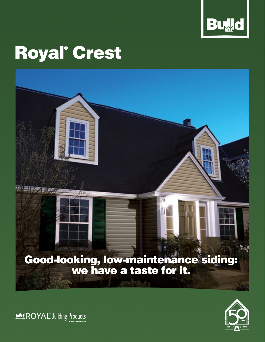

# Royal**®** Crest

# Good-looking, low-maintenance siding: we have a taste for it.



**MEROYAL** Building Products

三座座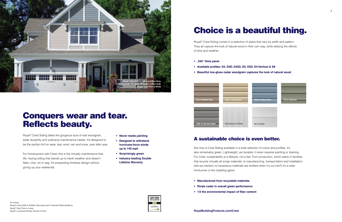- **Never needs painting**
- **Designed to withstand hurricane-force winds up to 140 mph**
- **Surprisingly green**
- **Industry-leading Double Lifetime Warranty**

## Conquers wear and tear. Reflects beauty.

Royal® Crest Siding takes the gorgeous aura of real woodgrain, adds durability and subtracts maintenance hassle. It's designed to be the perfect foil for wear, tear, wind, rain and snow, year after year.

For homeowners with Crest, this is the virtually maintenance-free life: having siding that stands up to harsh weather and doesn't flake, chip, rot or sag. It's possessing timeless design without giving up your weekends.

**On Cover: Royal® Crest D4D in Pebble Clay (top) and in Harvard Slate (bottom), Royal® Vinyl Trim in Linen, Royal® Louvered Shutter Panels in Pine**





Royal® Crest Siding comes in a selection of styles that vary by width and pattern. They all capture the look of natural wood in their own way, while defying the effects of time and weather.

- **.040" thick panel**
- **Available profiles: D4, D4D, D45D, D5, D5D, D4 Vertical & S8**
- **Beautiful low-gloss cedar woodgrain captures the look of natural wood**

### A sustainable choice is even better.

Not only is Crest Siding available in a wide selection of colors and profiles, it's also remarkably green. Lightweight, yet durable, it never requires painting or staining. For Crest, sustainability is a lifestyle, not a fad. From production, which starts in facilities that recycle virtually all scrap materials, to manufacturing, transportation and installation (did we mention no hazardous materials are emitted when it's cut into?) it's a clear frontrunner in the cladding game.

- **Manufactured from recyclable materials**
- **Rivals cedar in overall green performance**
- **1/3 the environmental impact of fiber cement**



**D5D in Harvard Slate D4 Vertical in White S8 in White** 

**D4 Vertical in White**



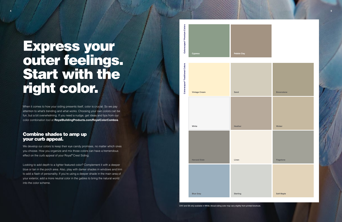# Express your outer feelings. Start with the right color.

When it comes to how your siding presents itself, color is crucial. So we pay attention to what's trending and what works. Choosing your own colors can be fun, but a bit overwhelming. If you need a nudge, get ideas and tips from our color combination tool at **RoyalBuildingProducts.com/RoyalColorCombos** .

### Combine shades to amp up your curb appeal.

We develop our colors to keep their eye candy promises, no matter which ones you choose. How you organize and mix those colors can have a tremendous effect on the curb appeal of your Royal® Crest Siding.

Looking to add depth to a lighter featured color? Complement it with a deeper blue or tan in the porch area. Also, play with darker shades in windows and trim to add a flash of personality. If you're using a deeper shade in the main area of your exterior, add a more neutral color in the gables to bring the natural world into the color scheme.



D4V and S8 only available in White. Actual siding color may vary slightly from printed brochure.

**4**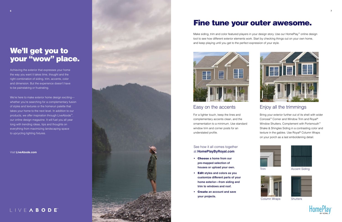### See how it all comes together at **HomePlayByRoyal.com**

- Choose **a home from our pre-mapped selection of houses or upload your own.**
- Edit **styles and colors as you customize different parts of your home exterior—from siding and trim to windows and roof.**
- Create **an account and save your projects.**



## Fine tune your outer awesome.

Make siding, trim and color featured players in your design story. Use our HomePlay™ online design tool to see how different exterior elements work. Start by checking things out on your own home, and keep playing until you get to the perfect expression of your style.



## We'll get you to your "wow" place.

## Enjoy all the trimmings

Bring your exterior further out of its shell with wider Conceal™ Corner and Window Trim and Royal® Window Shutters. Complement with Portsmouth™ Shake & Shingles Siding in a contrasting color and texture in the gables. Use Royal® Column Wraps on your porch as a last emboldening detail.



## Easy on the accents

For a lighter touch, keep the lines and complementary accents clean, and the ornamentation to a minimum. Use standard window trim and corner posts for an understated profile.



Column Wraps Shutters



Trim Accent Siding





Achieving the exterior that expresses your home the way you want it takes time, thought and the right combination of siding, trim, accents, color and dimension. But the experience doesn't have to be painstaking or frustrating.

We're here to make exterior home design exciting whether you're searching for a complementary fusion of styles and textures or the homerun palette that takes your home to the next level. In addition to our products, we offer inspiration through LiveAbode™, our online design magazine. It will fuel you all year long with trending ideas, tips and thoughts on everything from maximizing landscaping space to upcycling lighting fixtures.

Visit **LiveAbode.com**